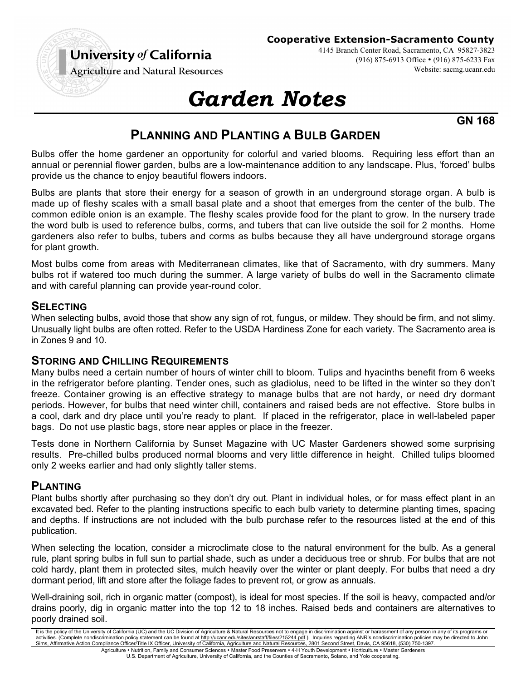

#### **Cooperative Extension-Sacramento County**

4145 Branch Center Road, Sacramento, CA 95827-3823 (916) 875-6913 Office • (916) 875-6233 Fax Website: sacmg.ucanr.edu

**Agriculture and Natural Resources** 

# *Garden Notes*

**GN 168**

## **PLANNING AND PLANTING A BULB GARDEN**

Bulbs offer the home gardener an opportunity for colorful and varied blooms. Requiring less effort than an annual or perennial flower garden, bulbs are a low-maintenance addition to any landscape. Plus, 'forced' bulbs provide us the chance to enjoy beautiful flowers indoors.

Bulbs are plants that store their energy for a season of growth in an underground storage organ. A bulb is made up of fleshy scales with a small basal plate and a shoot that emerges from the center of the bulb. The common edible onion is an example. The fleshy scales provide food for the plant to grow. In the nursery trade the word bulb is used to reference bulbs, corms, and tubers that can live outside the soil for 2 months. Home gardeners also refer to bulbs, tubers and corms as bulbs because they all have underground storage organs for plant growth.

Most bulbs come from areas with Mediterranean climates, like that of Sacramento, with dry summers. Many bulbs rot if watered too much during the summer. A large variety of bulbs do well in the Sacramento climate and with careful planning can provide year-round color.

## **SELECTING**

When selecting bulbs, avoid those that show any sign of rot, fungus, or mildew. They should be firm, and not slimy. Unusually light bulbs are often rotted. Refer to the USDA Hardiness Zone for each variety. The Sacramento area is in Zones 9 and 10.

#### **STORING AND CHILLING REQUIREMENTS**

Many bulbs need a certain number of hours of winter chill to bloom. Tulips and hyacinths benefit from 6 weeks in the refrigerator before planting. Tender ones, such as gladiolus, need to be lifted in the winter so they don't freeze. Container growing is an effective strategy to manage bulbs that are not hardy, or need dry dormant periods. However, for bulbs that need winter chill, containers and raised beds are not effective. Store bulbs in a cool, dark and dry place until you're ready to plant. If placed in the refrigerator, place in well-labeled paper bags. Do not use plastic bags, store near apples or place in the freezer.

Tests done in Northern California by Sunset Magazine with UC Master Gardeners showed some surprising results. Pre-chilled bulbs produced normal blooms and very little difference in height. Chilled tulips bloomed only 2 weeks earlier and had only slightly taller stems.

#### **PLANTING**

Plant bulbs shortly after purchasing so they don't dry out. Plant in individual holes, or for mass effect plant in an excavated bed. Refer to the planting instructions specific to each bulb variety to determine planting times, spacing and depths. If instructions are not included with the bulb purchase refer to the resources listed at the end of this publication.

When selecting the location, consider a microclimate close to the natural environment for the bulb. As a general rule, plant spring bulbs in full sun to partial shade, such as under a deciduous tree or shrub. For bulbs that are not cold hardy, plant them in protected sites, mulch heavily over the winter or plant deeply. For bulbs that need a dry dormant period, lift and store after the foliage fades to prevent rot, or grow as annuals.

Well-draining soil, rich in organic matter (compost), is ideal for most species. If the soil is heavy, compacted and/or drains poorly, dig in organic matter into the top 12 to 18 inches. Raised beds and containers are alternatives to poorly drained soil.

It is the policy of the University of California (UC) and the UC Division of Agriculture & Natural Resources not to engage in discrimination against or harassment of any person in any of its programs or activities. (Complete nondiscrimination policy statement can be found at <u>http://ucanr.edu/sites/anrstaff/files/215244.pdf</u> ). Inquiries regarding ANR's nondiscrimination policies may be directed to John<br>Sims, Affirmative Agriculture • Nutrition, Family and Consumer Sciences • Master Food Preservers • 4-H Youth Development • Horticulture • Master Gardeners

U.S. Department of Agriculture, University of California, and the Counties of Sacramento, Solano, and Yolo cooperating.